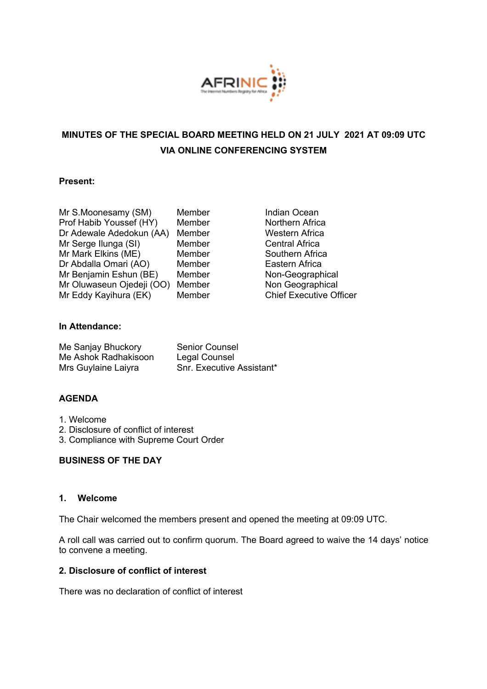

# **MINUTES OF THE SPECIAL BOARD MEETING HELD ON 21 JULY 2021 AT 09:09 UTC VIA ONLINE CONFERENCING SYSTEM**

## **Present:**

| Mr S.Moonesamy (SM)       | Membe |
|---------------------------|-------|
| Prof Habib Youssef (HY)   | Membe |
| Dr Adewale Adedokun (AA)  | Membe |
| Mr Serge Ilunga (SI)      | Membe |
| Mr Mark Elkins (ME)       | Membe |
| Dr Abdalla Omari (AO)     | Membe |
| Mr Benjamin Eshun (BE)    | Membe |
| Mr Oluwaseun Ojedeji (OO) | Membe |
| Mr Eddy Kayihura (EK)     | Membe |

er S.Moonesamy (SM) Indian Ocean **Prof Habib Youthern Africal** er **Western Africa** er **Central Africa** er **Southern Africa** er **Eastern Africa** er **Non-Geographical** er **Non Geographical** er Chief Executive Officer

## **In Attendance:**

| Me Sanjay Bhuckory   | <b>Senior Counsel</b>     |
|----------------------|---------------------------|
| Me Ashok Radhakisoon | Legal Counsel             |
| Mrs Guylaine Laiyra  | Snr. Executive Assistant* |

## **AGENDA**

- 1. Welcome
- 2. Disclosure of conflict of interest
- 3. Compliance with Supreme Court Order

## **BUSINESS OF THE DAY**

#### **1. Welcome**

The Chair welcomed the members present and opened the meeting at 09:09 UTC.

A roll call was carried out to confirm quorum. The Board agreed to waive the 14 days' notice to convene a meeting.

## **2. Disclosure of conflict of interest**

There was no declaration of conflict of interest